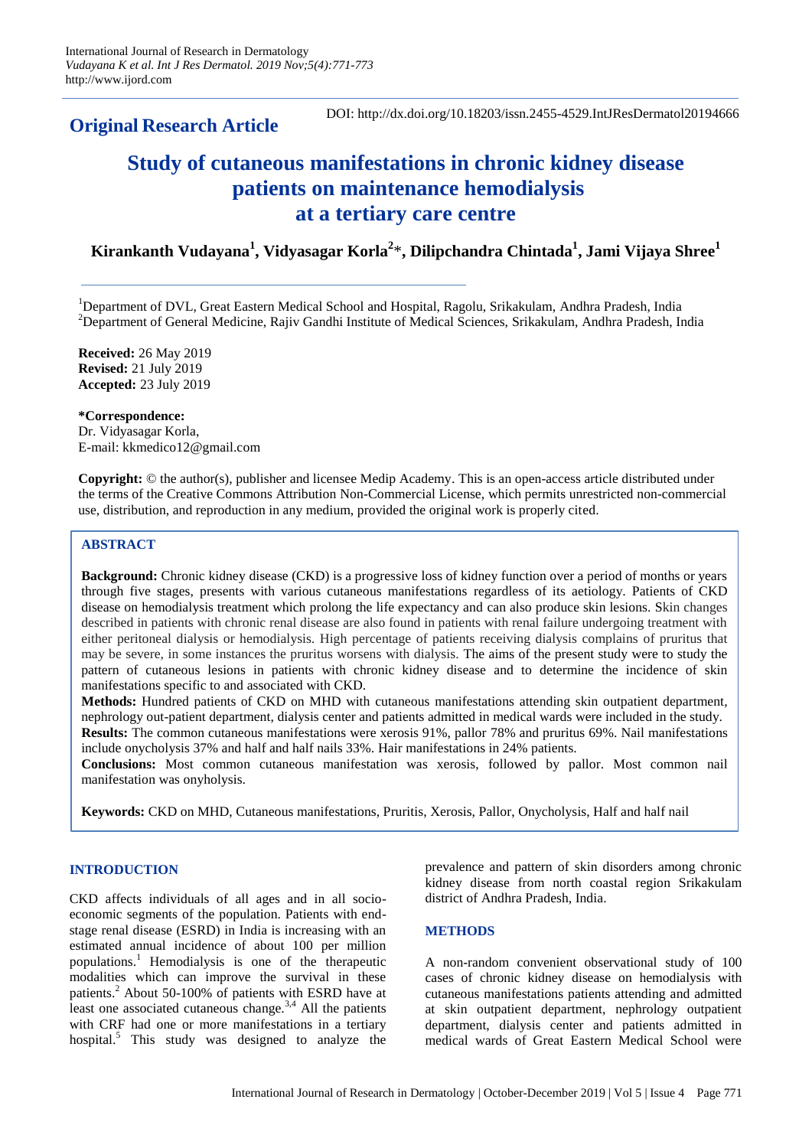**Original Research Article** 

# **Study of cutaneous manifestations in chronic kidney disease patients on maintenance hemodialysis at a tertiary care centre**

**Kirankanth Vudayana<sup>1</sup> , Vidyasagar Korla<sup>2</sup>** \***, Dilipchandra Chintada<sup>1</sup> , Jami Vijaya Shree<sup>1</sup>**

<sup>1</sup>Department of DVL, Great Eastern Medical School and Hospital, Ragolu, Srikakulam, Andhra Pradesh, India <sup>2</sup>Department of General Medicine, Rajiv Gandhi Institute of Medical Sciences, Srikakulam, Andhra Pradesh, India

**Received:** 26 May 2019 **Revised:** 21 July 2019 **Accepted:** 23 July 2019

**\*Correspondence:** Dr. Vidyasagar Korla, E-mail: kkmedico12@gmail.com

**Copyright:** © the author(s), publisher and licensee Medip Academy. This is an open-access article distributed under the terms of the Creative Commons Attribution Non-Commercial License, which permits unrestricted non-commercial use, distribution, and reproduction in any medium, provided the original work is properly cited.

## **ABSTRACT**

**Background:** Chronic kidney disease (CKD) is a progressive loss of kidney function over a period of months or years through five stages, presents with various cutaneous manifestations regardless of its aetiology. Patients of CKD disease on hemodialysis treatment which prolong the life expectancy and can also produce skin lesions. Skin changes described in patients with chronic renal disease are also found in patients with renal failure undergoing treatment with either peritoneal dialysis or hemodialysis. High percentage of patients receiving dialysis complains of pruritus that may be severe, in some instances the pruritus worsens with dialysis. The aims of the present study were to study the pattern of cutaneous lesions in patients with chronic kidney disease and to determine the incidence of skin manifestations specific to and associated with CKD.

**Methods:** Hundred patients of CKD on MHD with cutaneous manifestations attending skin outpatient department, nephrology out-patient department, dialysis center and patients admitted in medical wards were included in the study. **Results:** The common cutaneous manifestations were xerosis 91%, pallor 78% and pruritus 69%. Nail manifestations include onycholysis 37% and half and half nails 33%. Hair manifestations in 24% patients.

**Conclusions:** Most common cutaneous manifestation was xerosis, followed by pallor. Most common nail manifestation was onyholysis.

**Keywords:** CKD on MHD, Cutaneous manifestations, Pruritis, Xerosis, Pallor, Onycholysis, Half and half nail

### **INTRODUCTION**

CKD affects individuals of all ages and in all socioeconomic segments of the population. Patients with endstage renal disease (ESRD) in India is increasing with an estimated annual incidence of about 100 per million populations.<sup>1</sup> Hemodialysis is one of the therapeutic modalities which can improve the survival in these patients.<sup>2</sup> About 50-100% of patients with ESRD have at least one associated cutaneous change.<sup>3,4</sup> All the patients with CRF had one or more manifestations in a tertiary hospital.<sup>5</sup> This study was designed to analyze the prevalence and pattern of skin disorders among chronic kidney disease from north coastal region Srikakulam district of Andhra Pradesh, India.

### **METHODS**

A non-random convenient observational study of 100 cases of chronic kidney disease on hemodialysis with cutaneous manifestations patients attending and admitted at skin outpatient department, nephrology outpatient department, dialysis center and patients admitted in medical wards of Great Eastern Medical School were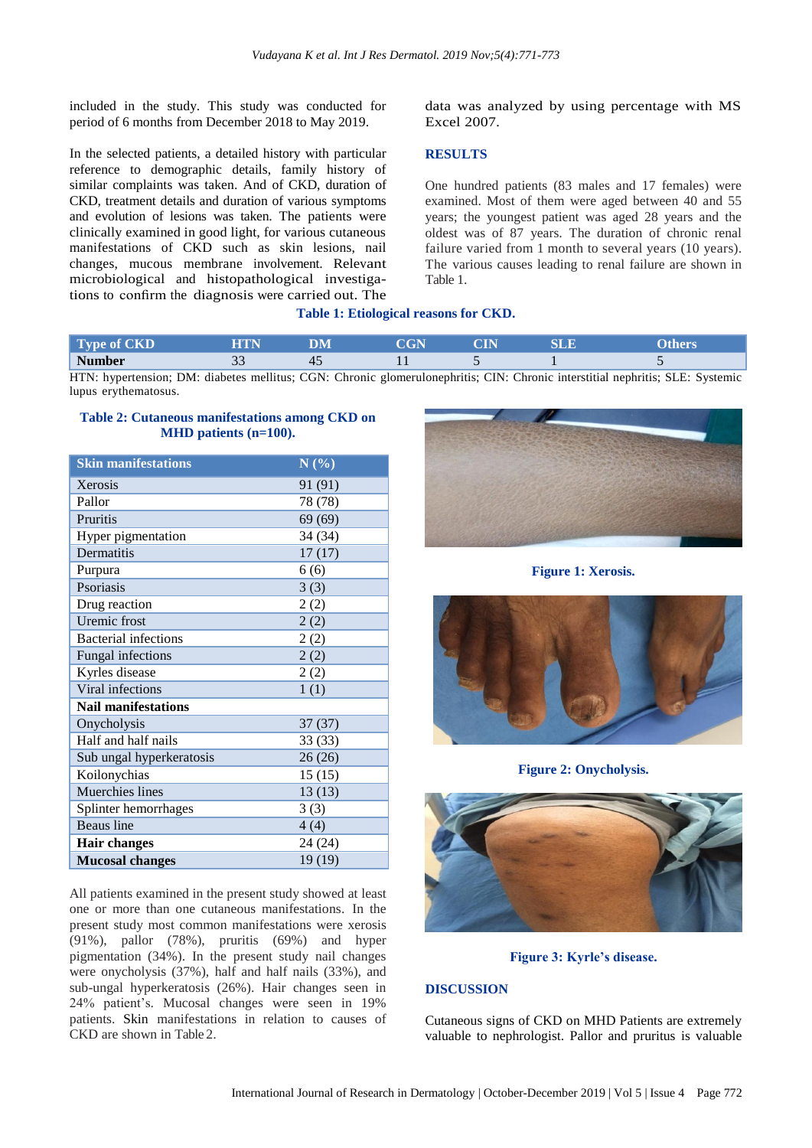included in the study. This study was conducted for period of 6 months from December 2018 to May 2019.

In the selected patients, a detailed history with particular reference to demographic details, family history of similar complaints was taken. And of CKD, duration of CKD, treatment details and duration of various symptoms and evolution of lesions was taken. The patients were clinically examined in good light, for various cutaneous manifestations of CKD such as skin lesions, nail changes, mucous membrane involvement. Relevant microbiological and histopathological investigations to confirm the diagnosis were carried out. The

data was analyzed by using percentage with MS Excel 2007.

### **RESULTS**

One hundred patients (83 males and 17 females) were examined. Most of them were aged between 40 and 55 years; the youngest patient was aged 28 years and the oldest was of 87 years. The duration of chronic renal failure varied from 1 month to several years (10 years). The various causes leading to renal failure are shown in Table 1.

### **Table 1: Etiological reasons for CKD.**

| Type of CKD                                                                                                                   |  | CGN |  |  |
|-------------------------------------------------------------------------------------------------------------------------------|--|-----|--|--|
| <b>Number</b>                                                                                                                 |  |     |  |  |
| UTM, bypartancian: DM, dispates mallitus: CCM, Chronic alemanylonephritic: CIN, Chronic interstitiel nephritic, CLE, Systemic |  |     |  |  |

HTN: hypertension; DM: diabetes mellitus; CGN: Chronic glomerulonephritis; CIN: Chronic interstitial nephritis; SLE: Systemic lupus erythematosus.

|  | <b>Table 2: Cutaneous manifestations among CKD on</b> |
|--|-------------------------------------------------------|
|  | MHD patients $(n=100)$ .                              |

| <b>Skin manifestations</b>  | N(%)    |  |  |  |  |
|-----------------------------|---------|--|--|--|--|
| Xerosis                     | 91 (91) |  |  |  |  |
| Pallor                      | 78 (78) |  |  |  |  |
| Pruritis                    | 69(69)  |  |  |  |  |
| Hyper pigmentation          | 34 (34) |  |  |  |  |
| Dermatitis                  | 17(17)  |  |  |  |  |
| Purpura                     | 6(6)    |  |  |  |  |
| Psoriasis                   | 3(3)    |  |  |  |  |
| Drug reaction               | 2(2)    |  |  |  |  |
| Uremic frost                | 2(2)    |  |  |  |  |
| <b>Bacterial infections</b> | 2(2)    |  |  |  |  |
| Fungal infections           | 2(2)    |  |  |  |  |
| Kyrles disease              | 2(2)    |  |  |  |  |
| Viral infections            | 1(1)    |  |  |  |  |
| <b>Nail manifestations</b>  |         |  |  |  |  |
| Onycholysis                 | 37(37)  |  |  |  |  |
| Half and half nails         | 33(33)  |  |  |  |  |
| Sub ungal hyperkeratosis    | 26(26)  |  |  |  |  |
| Koilonychias                | 15(15)  |  |  |  |  |
| Muerchies lines             | 13(13)  |  |  |  |  |
| Splinter hemorrhages        | 3(3)    |  |  |  |  |
| <b>Beaus</b> line           | 4(4)    |  |  |  |  |
| <b>Hair changes</b>         | 24 (24) |  |  |  |  |
| <b>Mucosal changes</b>      | 19 (19) |  |  |  |  |

All patients examined in the present study showed at least one or more than one cutaneous manifestations. In the present study most common manifestations were xerosis (91%), pallor (78%), pruritis (69%) and hyper pigmentation (34%). In the present study nail changes were onycholysis (37%), half and half nails (33%), and sub-ungal hyperkeratosis (26%). Hair changes seen in 24% patient's. Mucosal changes were seen in 19% patients. Skin manifestations in relation to causes of CKD are shown in Table 2.



**Figure 1: Xerosis.**



**Figure 2: Onycholysis.**



**Figure 3: Kyrle's disease.**

### **DISCUSSION**

Cutaneous signs of CKD on MHD Patients are extremely valuable to nephrologist. Pallor and pruritus is valuable